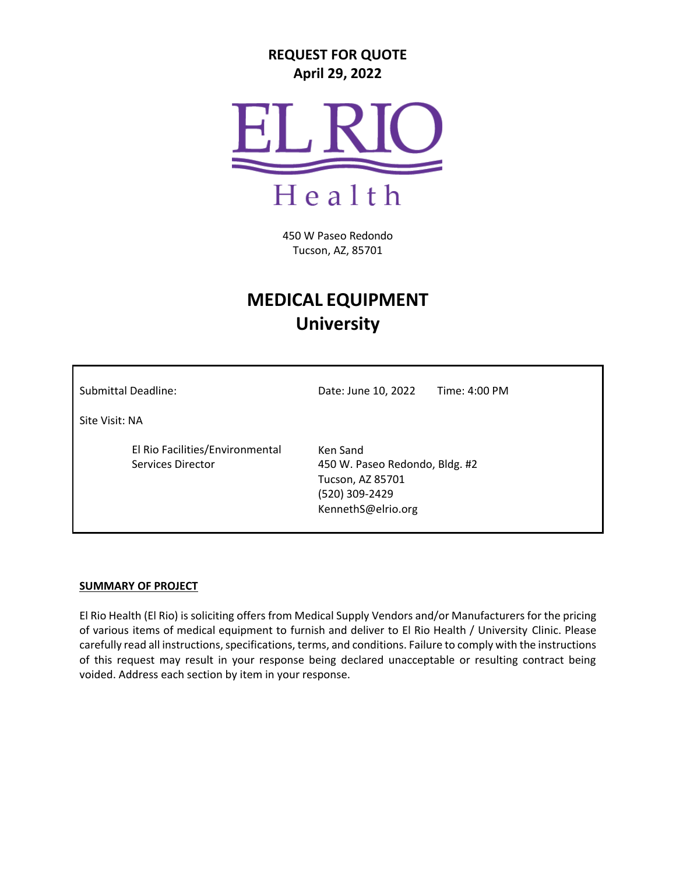# **REQUEST FOR QUOTE April 29, 2022**



450 W Paseo Redondo Tucson, AZ, 85701

# **MEDICAL EQUIPMENT University**

Submittal Deadline: Date: June 10, 2022 Time: 4:00 PM

Site Visit: NA

El Rio Facilities/Environmental Services Director

Ken Sand 450 W. Paseo Redondo, Bldg. #2 Tucson, AZ 85701 (520) 309-2429 [KennethS@elrio.org](mailto:KennethS@elrio.org)

### **SUMMARY OF PROJECT**

El Rio Health (El Rio) is soliciting offers from Medical Supply Vendors and/or Manufacturers for the pricing of various items of medical equipment to furnish and deliver to El Rio Health / University Clinic. Please carefully read all instructions, specifications, terms, and conditions. Failure to comply with the instructions of this request may result in your response being declared unacceptable or resulting contract being voided. Address each section by item in your response.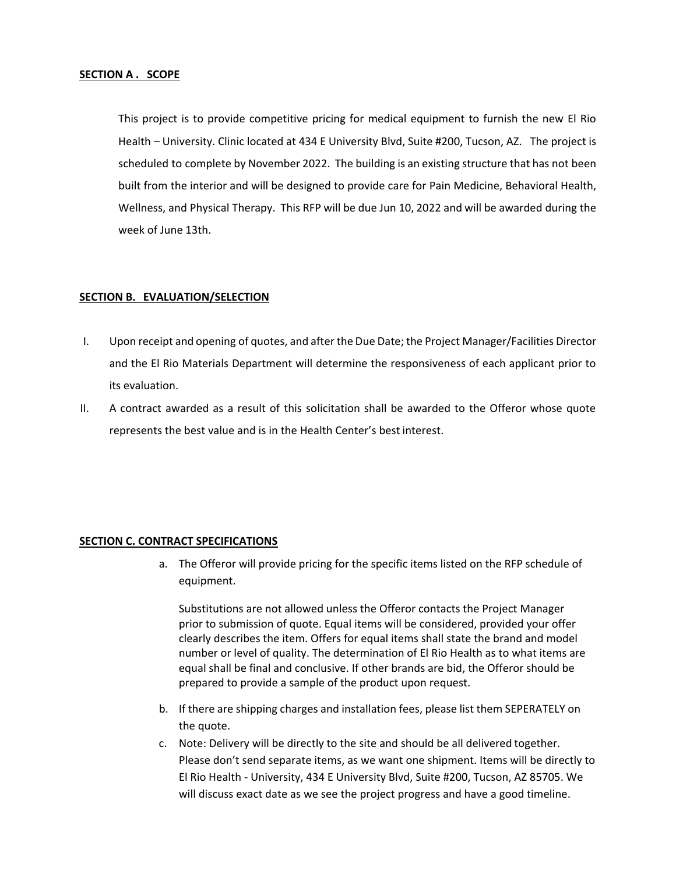#### **SECTION A . SCOPE**

This project is to provide competitive pricing for medical equipment to furnish the new El Rio Health – University. Clinic located at 434 E University Blvd, Suite #200, Tucson, AZ. The project is scheduled to complete by November 2022. The building is an existing structure that has not been built from the interior and will be designed to provide care for Pain Medicine, Behavioral Health, Wellness, and Physical Therapy. This RFP will be due Jun 10, 2022 and will be awarded during the week of June 13th.

#### **SECTION B. EVALUATION/SELECTION**

- I. Upon receipt and opening of quotes, and after the Due Date; the Project Manager/Facilities Director and the El Rio Materials Department will determine the responsiveness of each applicant prior to its evaluation.
- II. A contract awarded as a result of this solicitation shall be awarded to the Offeror whose quote represents the best value and is in the Health Center's best interest.

#### **SECTION C. CONTRACT SPECIFICATIONS**

a. The Offeror will provide pricing for the specific items listed on the RFP schedule of equipment.

Substitutions are not allowed unless the Offeror contacts the Project Manager prior to submission of quote. Equal items will be considered, provided your offer clearly describes the item. Offers for equal items shall state the brand and model number or level of quality. The determination of El Rio Health as to what items are equal shall be final and conclusive. If other brands are bid, the Offeror should be prepared to provide a sample of the product upon request.

- b. If there are shipping charges and installation fees, please list them SEPERATELY on the quote.
- c. Note: Delivery will be directly to the site and should be all delivered together. Please don't send separate items, as we want one shipment. Items will be directly to El Rio Health - University, 434 E University Blvd, Suite #200, Tucson, AZ 85705. We will discuss exact date as we see the project progress and have a good timeline.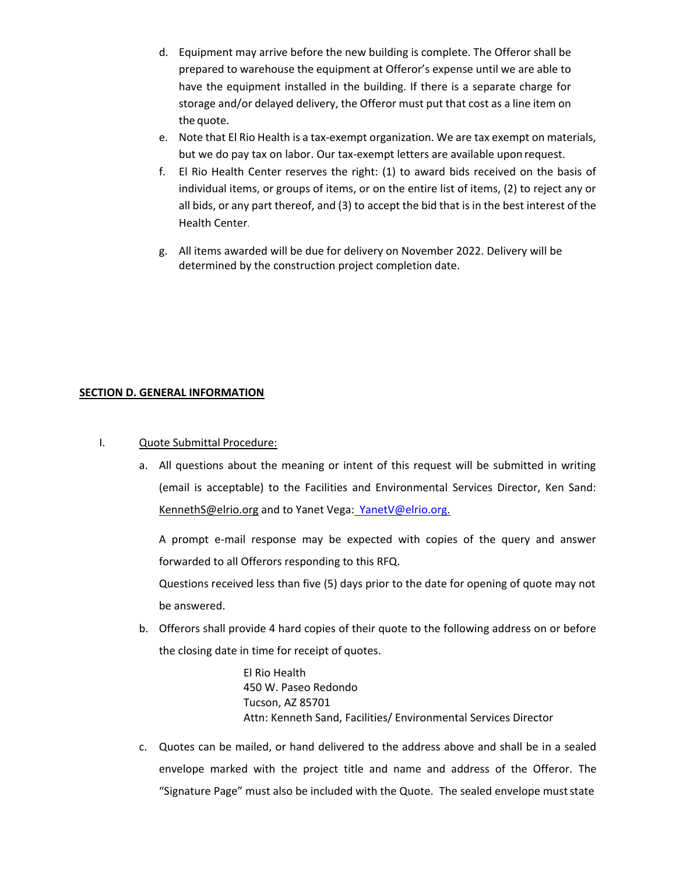- d. Equipment may arrive before the new building is complete. The Offeror shall be prepared to warehouse the equipment at Offeror's expense until we are able to have the equipment installed in the building. If there is a separate charge for storage and/or delayed delivery, the Offeror must put that cost as a line item on the quote.
- e. Note that El Rio Health is a tax-exempt organization. We are tax exempt on materials, but we do pay tax on labor. Our tax-exempt letters are available upon request.
- f. El Rio Health Center reserves the right: (1) to award bids received on the basis of individual items, or groups of items, or on the entire list of items, (2) to reject any or all bids, or any part thereof, and (3) to accept the bid that is in the best interest of the Health Center.
- g. All items awarded will be due for delivery on November 2022. Delivery will be determined by the construction project completion date.

# **SECTION D. GENERAL INFORMATION**

- I. Quote Submittal Procedure:
	- a. All questions about the meaning or intent of this request will be submitted in writing (email is acceptable) to the Facilities and Environmental Services Director, Ken Sand: [KennethS@elrio.org](mailto:KennethS@elrio.org) and to Yanet Vega: [YanetV@elrio.org.](mailto:%20YanetV@elrio.org)

A prompt e-mail response may be expected with copies of the query and answer forwarded to all Offerors responding to this RFQ.

Questions received less than five (5) days prior to the date for opening of quote may not be answered.

b. Offerors shall provide 4 hard copies of their quote to the following address on or before the closing date in time for receipt of quotes.

> El Rio Health 450 W. Paseo Redondo Tucson, AZ 85701 Attn: Kenneth Sand, Facilities/ Environmental Services Director

c. Quotes can be mailed, or hand delivered to the address above and shall be in a sealed envelope marked with the project title and name and address of the Offeror. The "Signature Page" must also be included with the Quote. The sealed envelope muststate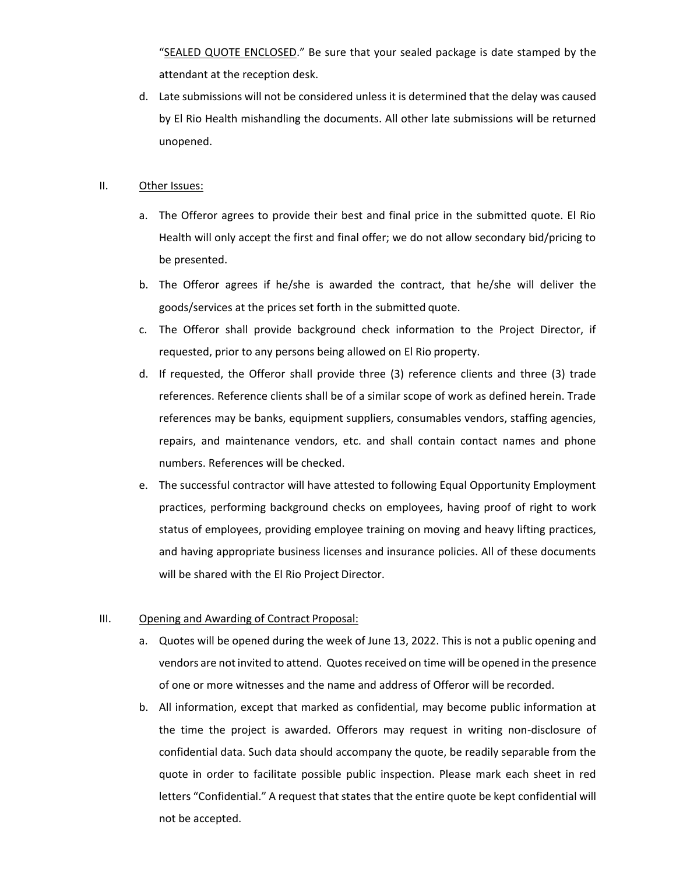"SEALED QUOTE ENCLOSED." Be sure that your sealed package is date stamped by the attendant at the reception desk.

d. Late submissions will not be considered unless it is determined that the delay was caused by El Rio Health mishandling the documents. All other late submissions will be returned unopened.

#### II. Other Issues:

- a. The Offeror agrees to provide their best and final price in the submitted quote. El Rio Health will only accept the first and final offer; we do not allow secondary bid/pricing to be presented.
- b. The Offeror agrees if he/she is awarded the contract, that he/she will deliver the goods/services at the prices set forth in the submitted quote.
- c. The Offeror shall provide background check information to the Project Director, if requested, prior to any persons being allowed on El Rio property.
- d. If requested, the Offeror shall provide three (3) reference clients and three (3) trade references. Reference clients shall be of a similar scope of work as defined herein. Trade references may be banks, equipment suppliers, consumables vendors, staffing agencies, repairs, and maintenance vendors, etc. and shall contain contact names and phone numbers. References will be checked.
- e. The successful contractor will have attested to following Equal Opportunity Employment practices, performing background checks on employees, having proof of right to work status of employees, providing employee training on moving and heavy lifting practices, and having appropriate business licenses and insurance policies. All of these documents will be shared with the El Rio Project Director.

### III. Opening and Awarding of Contract Proposal:

- a. Quotes will be opened during the week of June 13, 2022. This is not a public opening and vendors are not invited to attend. Quotes received on time will be opened in the presence of one or more witnesses and the name and address of Offeror will be recorded.
- b. All information, except that marked as confidential, may become public information at the time the project is awarded. Offerors may request in writing non-disclosure of confidential data. Such data should accompany the quote, be readily separable from the quote in order to facilitate possible public inspection. Please mark each sheet in red letters "Confidential." A request that states that the entire quote be kept confidential will not be accepted.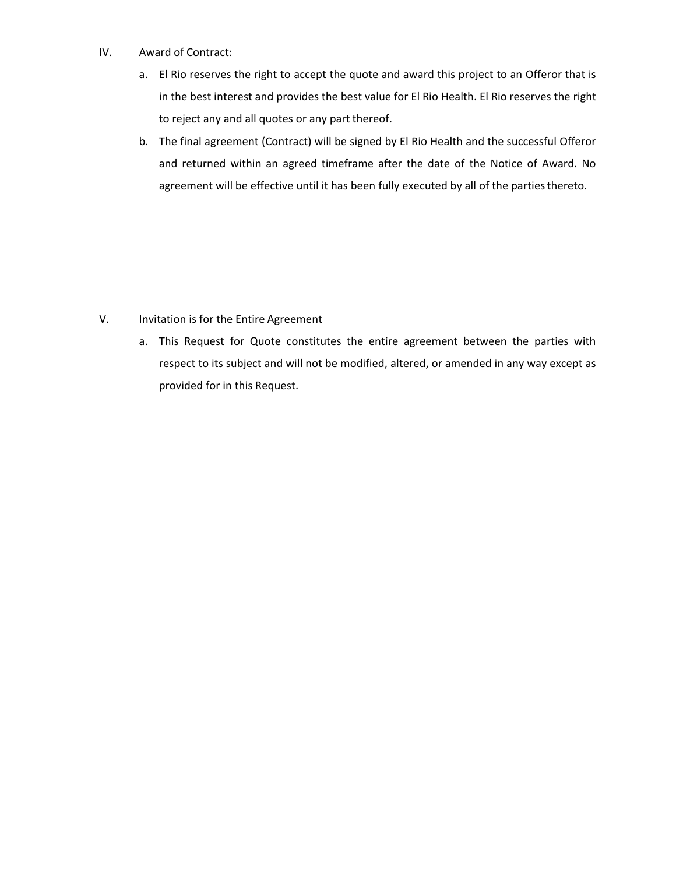## IV. Award of Contract:

- a. El Rio reserves the right to accept the quote and award this project to an Offeror that is in the best interest and provides the best value for El Rio Health. El Rio reserves the right to reject any and all quotes or any part thereof.
- b. The final agreement (Contract) will be signed by El Rio Health and the successful Offeror and returned within an agreed timeframe after the date of the Notice of Award. No agreement will be effective until it has been fully executed by all of the parties thereto.

# V. Invitation is for the Entire Agreement

a. This Request for Quote constitutes the entire agreement between the parties with respect to its subject and will not be modified, altered, or amended in any way except as provided for in this Request.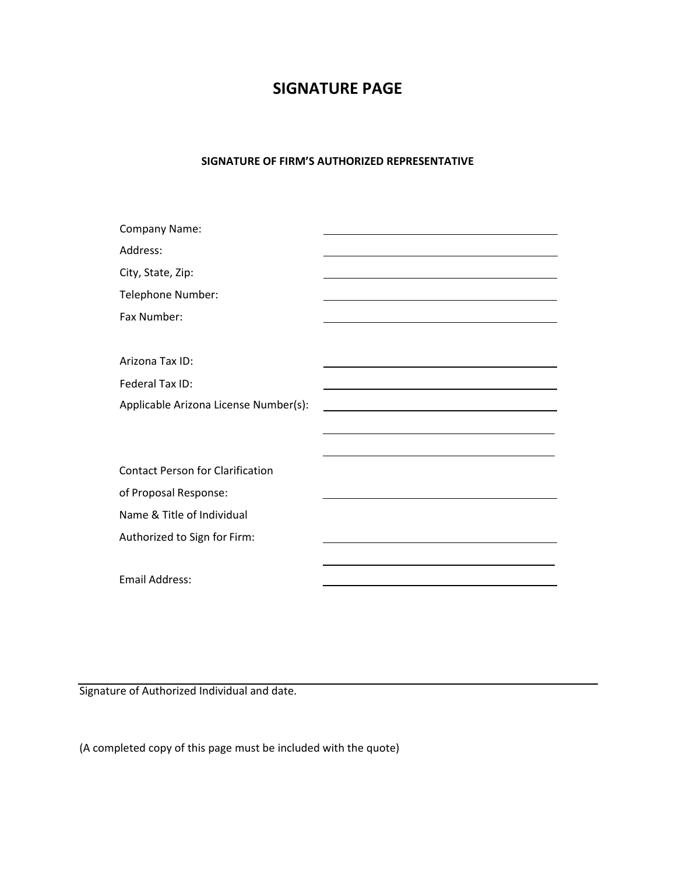# **SIGNATURE PAGE**

#### **SIGNATURE OF FIRM'S AUTHORIZED REPRESENTATIVE**

| Company Name:                           |  |
|-----------------------------------------|--|
| Address:                                |  |
| City, State, Zip:                       |  |
| Telephone Number:                       |  |
| Fax Number:                             |  |
|                                         |  |
| Arizona Tax ID:                         |  |
| Federal Tax ID:                         |  |
| Applicable Arizona License Number(s):   |  |
|                                         |  |
|                                         |  |
| <b>Contact Person for Clarification</b> |  |
| of Proposal Response:                   |  |
| Name & Title of Individual              |  |
| Authorized to Sign for Firm:            |  |
|                                         |  |
| <b>Email Address:</b>                   |  |

Signature of Authorized Individual and date.

(A completed copy of this page must be included with the quote)